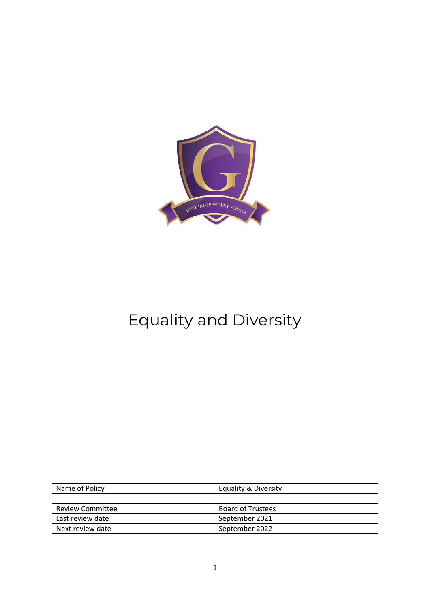

# Equality and Diversity

| Name of Policy          | Equality & Diversity     |
|-------------------------|--------------------------|
|                         |                          |
| <b>Review Committee</b> | <b>Board of Trustees</b> |
| Last review date        | September 2021           |
| Next review date        | September 2022           |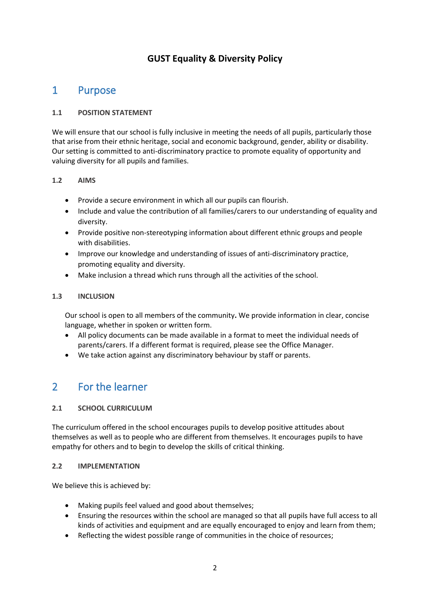# **GUST Equality & Diversity Policy**

# 1 Purpose

# **1.1 POSITION STATEMENT**

We will ensure that our school is fully inclusive in meeting the needs of all pupils, particularly those that arise from their ethnic heritage, social and economic background, gender, ability or disability. Our setting is committed to anti-discriminatory practice to promote equality of opportunity and valuing diversity for all pupils and families.

### **1.2 AIMS**

- Provide a secure environment in which all our pupils can flourish.
- Include and value the contribution of all families/carers to our understanding of equality and diversity.
- Provide positive non-stereotyping information about different ethnic groups and people with disabilities.
- Improve our knowledge and understanding of issues of anti-discriminatory practice, promoting equality and diversity.
- Make inclusion a thread which runs through all the activities of the school.

# **1.3 INCLUSION**

Our school is open to all members of the community**.** We provide information in clear, concise language, whether in spoken or written form.

- All policy documents can be made available in a format to meet the individual needs of parents/carers. If a different format is required, please see the Office Manager.
- We take action against any discriminatory behaviour by staff or parents.

# 2 For the learner

### **2.1 SCHOOL CURRICULUM**

The curriculum offered in the school encourages pupils to develop positive attitudes about themselves as well as to people who are different from themselves. It encourages pupils to have empathy for others and to begin to develop the skills of critical thinking.

### **2.2 IMPLEMENTATION**

We believe this is achieved by:

- Making pupils feel valued and good about themselves;
- Ensuring the resources within the school are managed so that all pupils have full access to all kinds of activities and equipment and are equally encouraged to enjoy and learn from them;
- Reflecting the widest possible range of communities in the choice of resources;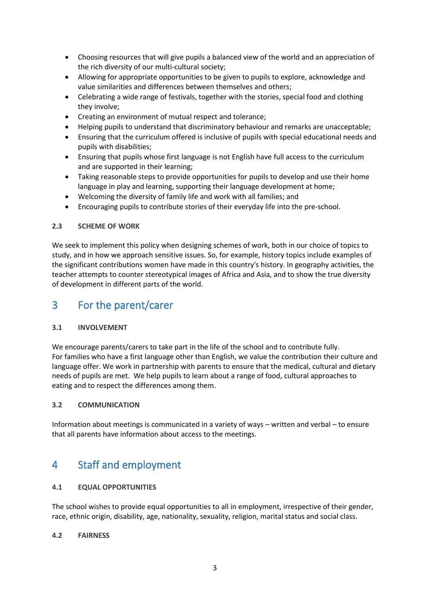- Choosing resources that will give pupils a balanced view of the world and an appreciation of the rich diversity of our multi-cultural society;
- Allowing for appropriate opportunities to be given to pupils to explore, acknowledge and value similarities and differences between themselves and others;
- Celebrating a wide range of festivals, together with the stories, special food and clothing they involve;
- Creating an environment of mutual respect and tolerance;
- Helping pupils to understand that discriminatory behaviour and remarks are unacceptable;
- Ensuring that the curriculum offered is inclusive of pupils with special educational needs and pupils with disabilities;
- Ensuring that pupils whose first language is not English have full access to the curriculum and are supported in their learning;
- Taking reasonable steps to provide opportunities for pupils to develop and use their home language in play and learning, supporting their language development at home;
- Welcoming the diversity of family life and work with all families; and
- Encouraging pupils to contribute stories of their everyday life into the pre-school.

### **2.3 SCHEME OF WORK**

We seek to implement this policy when designing schemes of work, both in our choice of topics to study, and in how we approach sensitive issues. So, for example, history topics include examples of the significant contributions women have made in this country's history. In geography activities, the teacher attempts to counter stereotypical images of Africa and Asia, and to show the true diversity of development in different parts of the world.

# 3 For the parent/carer

### **3.1 INVOLVEMENT**

We encourage parents/carers to take part in the life of the school and to contribute fully. For families who have a first language other than English, we value the contribution their culture and language offer. We work in partnership with parents to ensure that the medical, cultural and dietary needs of pupils are met. We help pupils to learn about a range of food, cultural approaches to eating and to respect the differences among them.

### **3.2 COMMUNICATION**

Information about meetings is communicated in a variety of ways – written and verbal – to ensure that all parents have information about access to the meetings.

# 4 Staff and employment

### **4.1 EQUAL OPPORTUNITIES**

The school wishes to provide equal opportunities to all in employment, irrespective of their gender, race, ethnic origin, disability, age, nationality, sexuality, religion, marital status and social class.

### **4.2 FAIRNESS**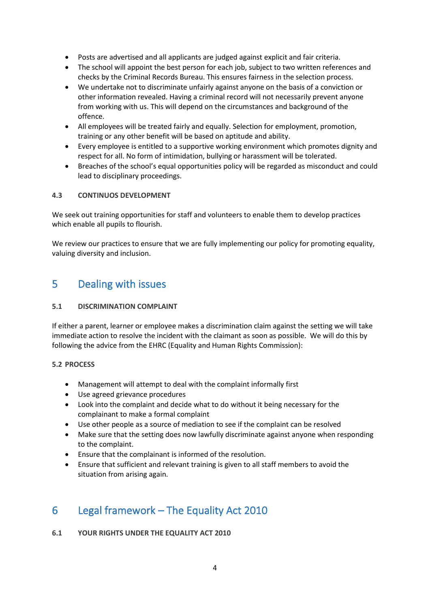- Posts are advertised and all applicants are judged against explicit and fair criteria.
- The school will appoint the best person for each job, subject to two written references and checks by the Criminal Records Bureau. This ensures fairness in the selection process.
- We undertake not to discriminate unfairly against anyone on the basis of a conviction or other information revealed. Having a criminal record will not necessarily prevent anyone from working with us. This will depend on the circumstances and background of the offence.
- All employees will be treated fairly and equally. Selection for employment, promotion, training or any other benefit will be based on aptitude and ability.
- Every employee is entitled to a supportive working environment which promotes dignity and respect for all. No form of intimidation, bullying or harassment will be tolerated.
- Breaches of the school's equal opportunities policy will be regarded as misconduct and could lead to disciplinary proceedings.

### **4.3 CONTINUOS DEVELOPMENT**

We seek out training opportunities for staff and volunteers to enable them to develop practices which enable all pupils to flourish.

We review our practices to ensure that we are fully implementing our policy for promoting equality, valuing diversity and inclusion.

# 5 Dealing with issues

### **5.1 DISCRIMINATION COMPLAINT**

If either a parent, learner or employee makes a discrimination claim against the setting we will take immediate action to resolve the incident with the claimant as soon as possible. We will do this by following the advice from the EHRC (Equality and Human Rights Commission):

### **5.2 PROCESS**

- Management will attempt to deal with the complaint informally first
- Use agreed grievance procedures
- Look into the complaint and decide what to do without it being necessary for the complainant to make a formal complaint
- Use other people as a source of mediation to see if the complaint can be resolved
- Make sure that the setting does now lawfully discriminate against anyone when responding to the complaint.
- Ensure that the complainant is informed of the resolution.
- Ensure that sufficient and relevant training is given to all staff members to avoid the situation from arising again.

# 6 Legal framework – The Equality Act 2010

**6.1 YOUR RIGHTS UNDER THE EQUALITY ACT 2010**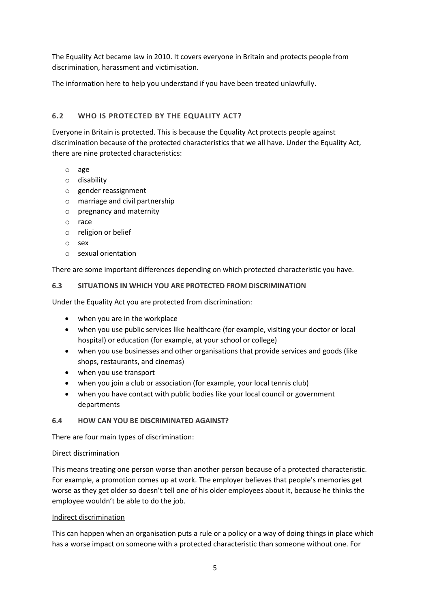The Equality Act became law in 2010. It covers everyone in Britain and protects people from discrimination, harassment and victimisation.

The information here to help you understand if you have been treated unlawfully.

# **6.2 WHO IS PROTECTED BY THE EQUALITY ACT?**

Everyone in Britain is protected. This is because the Equality Act protects people against discrimination because of the protected characteristics that we all have. Under the Equality Act, there are nine protected characteristics:

- o age
- o disability
- o [gender reassignment](https://www.equalityhumanrights.com/en/advice-and-guidance/gender-reassignment-discrimination)
- o marriage and civil partnership
- o pregnancy and maternity
- o race
- o religion or belief
- o sex
- o sexual orientation

There are some important differences depending on which protected characteristic you have.

### **6.3 SITUATIONS IN WHICH YOU ARE PROTECTED FROM DISCRIMINATION**

Under the Equality Act you are protected from discrimination:

- when you are in the workplace
- when you use public services like healthcare (for example, visiting your doctor or local hospital) or education (for example, at your school or college)
- when you use businesses and other organisations that provide services and goods (like shops, restaurants, and cinemas)
- when you use transport
- when you join a club or association (for example, your local tennis club)
- when you have contact with public bodies like your local council or government departments

### **6.4 HOW CAN YOU BE DISCRIMINATED AGAINST?**

There are four main types of discrimination:

### [Direct discrimination](https://www.equalityhumanrights.com/en/advice-and-guidance/what-direct-and-indirect-discrimination)

This means treating one person worse than another person because of a protected characteristic. For example, a promotion comes up at work. The employer believes that people's memories get worse as they get older so doesn't tell one of his older employees about it, because he thinks the employee wouldn't be able to do the job.

### [Indirect discrimination](https://www.equalityhumanrights.com/en/advice-and-guidance/what-direct-and-indirect-discrimination)

This can happen when an organisation puts a rule or a policy or a way of doing things in place which has a worse impact on someone with a protected characteristic than someone without one. For